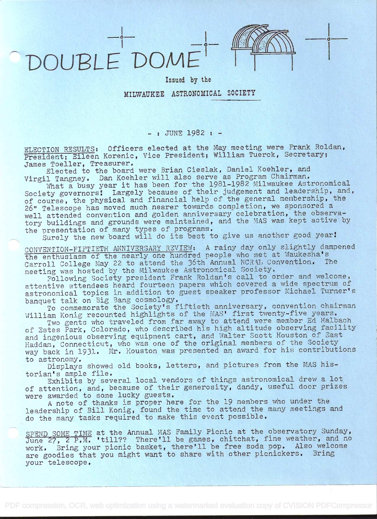DOUBLE DOME



 $\circ$  —

Issued by the

## MILWAUKEE ASTRONOMICAL SOCIETY

## -: JUNE 1982 : -

ELECTION RESULTS: Officers elected at the May meeting were Frank Roldan, President; Eileen Korenic, Vice President; William Tuerck, Secretary; James Toeller, Treasurer.

Elected to the board were Brian Cieslak, Daniel Koehier, and Virgil Tangney. Dan Koehier will also serve as Program Chairman.

What a busy year it has been for the 1981-1982 Milwaukee Astronomical what a busy year it has been for the ryor-ryor minimum of the selection of the second resolution and. society governors: Largely because of their judgement and membership, the course, the physical and financial help of the general membership, the 26" Telescope has moved much nearer towards completion, we sponsored <sup>a</sup> well attended convention and golden anniversary celebration, the observatory buildings and grounds were maintained, and the MAS was kept active by the presentation of many types of programs.

presentation of many types of programs.<br>Surely the new board will do its best to give us another good year!

CONVENTION-FIFTIETH ANNIVERSARY REVIEW: A rainy day only slightly dampened the enthusiasm of the nearly one hundred people who met at Waukesha's Carroll College May 22 to attend the 36th Annual NCRAL Convention. meeting was hosted by the Milwaukee Astronomical Society.

Following Society president Frank Roldan's call to order and welcome, attentive attendees heard fourteen papers which covered a wide spectrum of astronomical topics in addition to guest speaker professor Michael Turner's banquet talk on Big Bang cosmology.

To commemorate the Society's fiftieth anniversary, convention chairman William Konig recounted highlights of the MAS' first twenty-five years.

Two gents who traveled from far away to attend were member Ed Halbach of Estes Park, Colorado, who described his high altitude observing facility and ingenious observing equipment cart, and Walter Scott Houston of East Haddam, Connecticut, who was one of the original members of the Society way back in 1931. Mr. Houston was presented an award for his contributions to astronomy.

Displays showed old books, letters, and pictures from the MAS his-<br>torian's ample file.

Exhibits by several local vendors of things astronomical drew a lot of attention, and, because of their generosity, dandy, useful door prizes were awarded to some lucky guests.

<sup>A</sup>note of thanks is proper here for the 19 members who under the leadership of Bill Konig, found the time to attend the many meetings and do the many tasks required to make this event possible.

SPEND SOME TIME at the Annual MAS Family Picnic at the observatory Sunday, SPEND SOME TIME at the Annual MAS Pamily ficinc at the observatory bunday, work. Bring your picnic basket, there'll be free soda pop. Also welcome are goodies that you might want to share with other picnickers. Bring your telescope.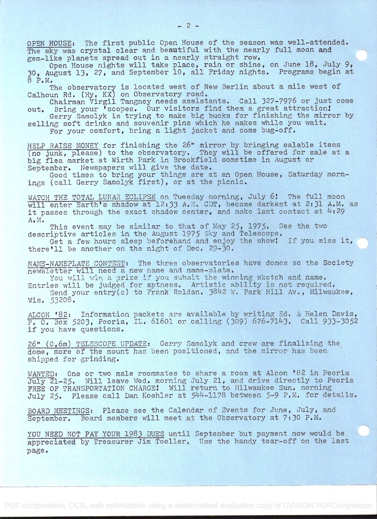OPEN HOUSE: The first public Open House of the season was well-attended. The sky was crystal clear and beautiful with the nearly full moon and gem-like planets spread out in a nearly straight row.

Open House nights will take place, rain or shine, on June 18, July 9, 30, August 13, 27, and September lO, all Friday nights. Programs begin at 8 P.M.

The observatory is located west of New Berlin about a mile west of Calhoun Rd. (Hy. KX) on Observatory road.

Chairman Virgil Tangney needs assistants. Call 327-7976 or just come out. Bring your 'scopes. Our visitors find them a great attraction!

Gerry Samolyk is trying to make big bucks for finishing the mirror by selling soft drinks and souvenir pins which he makes while you wait, For your comfort, bring a light jacket and some bug-off.

HELP RAISE MONEY for finishing the 26" mirror by bringing salable items (no junk, please) to the observatory. They will be offered for sale at a big flea market at Wirth Park in Brookfield sometime in August or September. Newspapers will give the date.

Good times to bring your things are at an Open House, Saturday mornings (call Gerry Samolyk first), or at the picnic.

WATCH THE TOTAL LUNAR ECLIPSE on Tuesday morning, July 6! The full moon will enter Earth's shadow at 12:33 A.M. CDT, become darkest at 2:31 A.M. as it passes through the exact shadow center, and make last contact at  $4:29$  $\blacksquare$ 

This event may be similar to that of May 25, 1975. See the two descriptive articles in the August 1975 Sky and Telescope.

Get a few hours sleep beforehand and enjoy the show! If you miss it, there'll be another on the night of Dec.  $29-30$ .

NAME-NAMEPLATE CONTEST: The three observatories have domes so the Society newsletter will need a new name and name-olate.

You will win a prize if you submit the winning sketch and name.

Entries will be judged for aptness. Artistic ability is not required. Send your entry(s) to Frank Roldan, 3842 W. Park Hill Av., Milwaukee, Wis. 53208.

ALCON '82: Information packets are available by writing Ed. & Helen Davis, P. O. Box 5203, Peoria, IL. 61601 or calling (309) 676-7143. Call 933-3052 if you have questions.

26" (0.6m) TELESCOPE UPDATE: Gerry Samolyk and crew are finalizing the dome, more of the mount has been positioned, and the mirror has been shipped for grinding.

WANTED: One or two male roommates to share a room at Alcon '82 in Peoria July 21-25. Will leave Wed. morning July 21, and drive directly to Peoria FREE OF TRANSPORTATION CHARGE! Will return to Milwaukee Sun. morning July 25. Please call Dan Koehler at 544-1178 between 5-9 P.M. for details.

BOARD MEETINGS: Please see the Calendar of Events for June, July, and September. Board members will meet at the Observatory at 7:30 P.M.

YOU NEED NOT PAY YOUR 1983 DUES until September but payment now would be appreciated by Treasurer Jim Toeller. Use the handy tear-off on the last page.